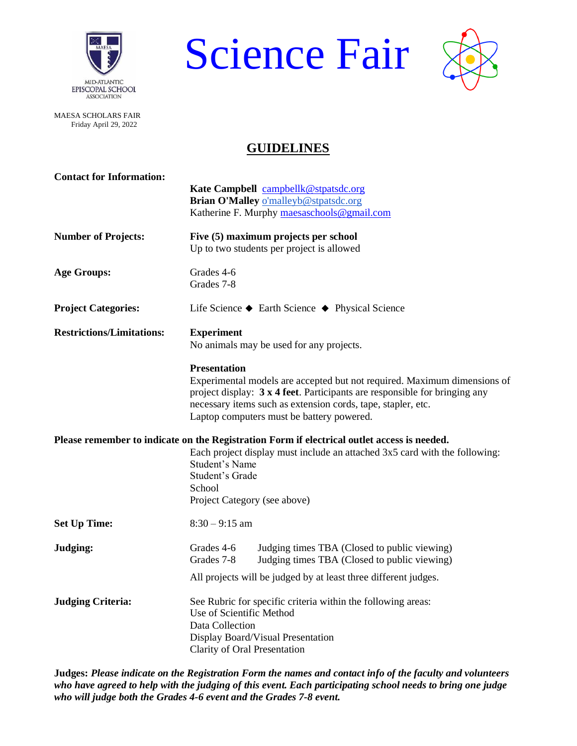

Science Fair



MAESA SCHOLARS FAIR Friday April 29, 2022

## **GUIDELINES**

| <b>Contact for Information:</b>  |                                                                                             |  |  |  |  |  |  |
|----------------------------------|---------------------------------------------------------------------------------------------|--|--|--|--|--|--|
|                                  | Kate Campbell campbellk@stpatsdc.org                                                        |  |  |  |  |  |  |
|                                  | Brian O'Malley o'malleyb@stpatsdc.org                                                       |  |  |  |  |  |  |
|                                  | Katherine F. Murphy maesaschools@gmail.com                                                  |  |  |  |  |  |  |
| <b>Number of Projects:</b>       | Five (5) maximum projects per school                                                        |  |  |  |  |  |  |
|                                  | Up to two students per project is allowed                                                   |  |  |  |  |  |  |
| <b>Age Groups:</b>               | Grades 4-6                                                                                  |  |  |  |  |  |  |
|                                  | Grades 7-8                                                                                  |  |  |  |  |  |  |
| <b>Project Categories:</b>       | Life Science $\blacklozenge$ Earth Science $\blacklozenge$ Physical Science                 |  |  |  |  |  |  |
| <b>Restrictions/Limitations:</b> | <b>Experiment</b>                                                                           |  |  |  |  |  |  |
|                                  | No animals may be used for any projects.                                                    |  |  |  |  |  |  |
|                                  | <b>Presentation</b>                                                                         |  |  |  |  |  |  |
|                                  | Experimental models are accepted but not required. Maximum dimensions of                    |  |  |  |  |  |  |
|                                  | project display: $3x 4$ feet. Participants are responsible for bringing any                 |  |  |  |  |  |  |
|                                  | necessary items such as extension cords, tape, stapler, etc.                                |  |  |  |  |  |  |
|                                  | Laptop computers must be battery powered.                                                   |  |  |  |  |  |  |
|                                  | Please remember to indicate on the Registration Form if electrical outlet access is needed. |  |  |  |  |  |  |
|                                  | Each project display must include an attached 3x5 card with the following:                  |  |  |  |  |  |  |
|                                  | Student's Name                                                                              |  |  |  |  |  |  |
|                                  | Student's Grade                                                                             |  |  |  |  |  |  |
|                                  | School<br>Project Category (see above)                                                      |  |  |  |  |  |  |
|                                  |                                                                                             |  |  |  |  |  |  |
| <b>Set Up Time:</b>              | $8:30 - 9:15$ am                                                                            |  |  |  |  |  |  |
| Judging:                         | Grades 4-6<br>Judging times TBA (Closed to public viewing)                                  |  |  |  |  |  |  |
|                                  | Grades 7-8<br>Judging times TBA (Closed to public viewing)                                  |  |  |  |  |  |  |
|                                  | All projects will be judged by at least three different judges.                             |  |  |  |  |  |  |
| <b>Judging Criteria:</b>         | See Rubric for specific criteria within the following areas:                                |  |  |  |  |  |  |
|                                  | Use of Scientific Method                                                                    |  |  |  |  |  |  |
|                                  | Data Collection                                                                             |  |  |  |  |  |  |
|                                  | Display Board/Visual Presentation                                                           |  |  |  |  |  |  |
|                                  | Clarity of Oral Presentation                                                                |  |  |  |  |  |  |

**Judges:** *Please indicate on the Registration Form the names and contact info of the faculty and volunteers who have agreed to help with the judging of this event. Each participating school needs to bring one judge who will judge both the Grades 4-6 event and the Grades 7-8 event.*